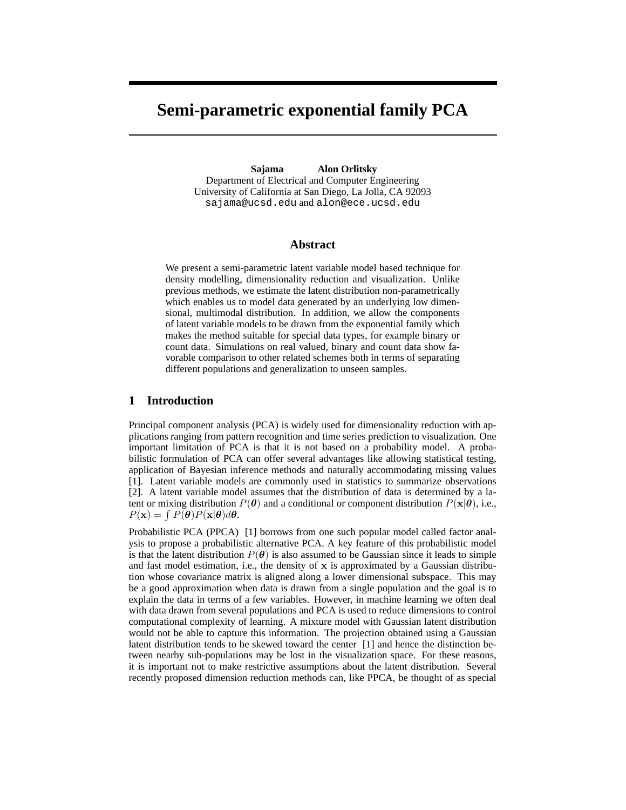# **Semi-parametric exponential family PCA**

**Sajama Alon Orlitsky** Department of Electrical and Computer Engineering University of California at San Diego, La Jolla, CA 92093 sajama@ucsd.edu and alon@ece.ucsd.edu

#### **Abstract**

We present a semi-parametric latent variable model based technique for density modelling, dimensionality reduction and visualization. Unlike previous methods, we estimate the latent distribution non-parametrically which enables us to model data generated by an underlying low dimensional, multimodal distribution. In addition, we allow the components of latent variable models to be drawn from the exponential family which makes the method suitable for special data types, for example binary or count data. Simulations on real valued, binary and count data show favorable comparison to other related schemes both in terms of separating different populations and generalization to unseen samples.

### **1 Introduction**

Principal component analysis (PCA) is widely used for dimensionality reduction with applications ranging from pattern recognition and time series prediction to visualization. One important limitation of PCA is that it is not based on a probability model. A probabilistic formulation of PCA can offer several advantages like allowing statistical testing, application of Bayesian inference methods and naturally accommodating missing values [1]. Latent variable models are commonly used in statistics to summarize observations [2]. A latent variable model assumes that the distribution of data is determined by a latent or mixing distribution  $P(\theta)$  and a conditional or component distribution  $P(\mathbf{x}|\theta)$ , i.e.,  $P(\mathbf{x}) = \int P(\boldsymbol{\theta}) P(\mathbf{x}|\boldsymbol{\theta}) d\boldsymbol{\theta}.$ 

Probabilistic PCA (PPCA) [1] borrows from one such popular model called factor analysis to propose a probabilistic alternative PCA. A key feature of this probabilistic model is that the latent distribution  $P(\theta)$  is also assumed to be Gaussian since it leads to simple and fast model estimation, i.e., the density of  $x$  is approximated by a Gaussian distribution whose covariance matrix is aligned along a lower dimensional subspace. This may be a good approximation when data is drawn from a single population and the goal is to explain the data in terms of a few variables. However, in machine learning we often deal with data drawn from several populations and PCA is used to reduce dimensions to control computational complexity of learning. A mixture model with Gaussian latent distribution would not be able to capture this information. The projection obtained using a Gaussian latent distribution tends to be skewed toward the center [1] and hence the distinction between nearby sub-populations may be lost in the visualization space. For these reasons, it is important not to make restrictive assumptions about the latent distribution. Several recently proposed dimension reduction methods can, like PPCA, be thought of as special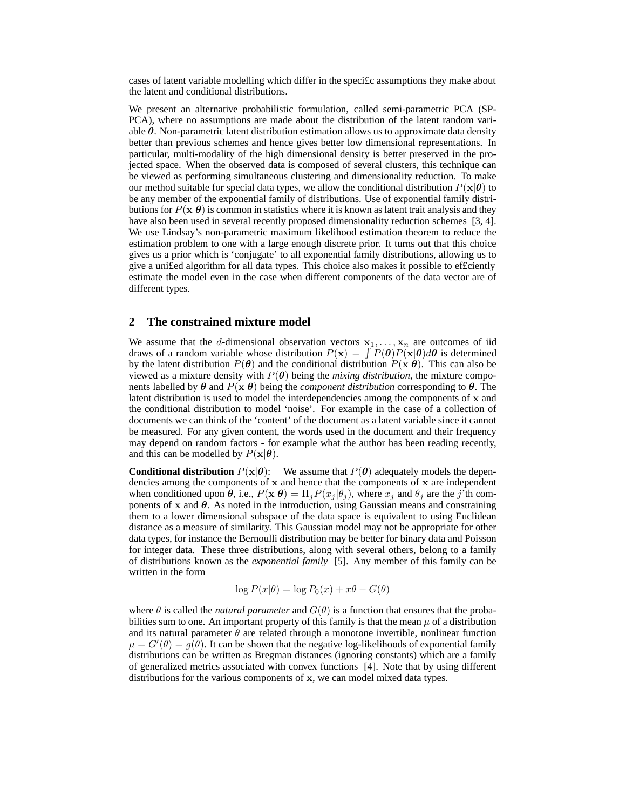cases of latent variable modelling which differ in the speci£c assumptions they make about the latent and conditional distributions.

We present an alternative probabilistic formulation, called semi-parametric PCA (SP-PCA), where no assumptions are made about the distribution of the latent random variable  $\theta$ . Non-parametric latent distribution estimation allows us to approximate data density better than previous schemes and hence gives better low dimensional representations. In particular, multi-modality of the high dimensional density is better preserved in the projected space. When the observed data is composed of several clusters, this technique can be viewed as performing simultaneous clustering and dimensionality reduction. To make our method suitable for special data types, we allow the conditional distribution  $P(x|\theta)$  to be any member of the exponential family of distributions. Use of exponential family distributions for  $P(x|\theta)$  is common in statistics where it is known as latent trait analysis and they have also been used in several recently proposed dimensionality reduction schemes [3, 4]. We use Lindsay's non-parametric maximum likelihood estimation theorem to reduce the estimation problem to one with a large enough discrete prior. It turns out that this choice gives us a prior which is 'conjugate' to all exponential family distributions, allowing us to give a uni£ed algorithm for all data types. This choice also makes it possible to ef£ciently estimate the model even in the case when different components of the data vector are of different types.

#### **2 The constrained mixture model**

We assume that the d-dimensional observation vectors  $x_1, \ldots, x_n$  are outcomes of iid draws of a random variable whose distribution  $P(x) = \int P(\theta)P(x|\theta)d\theta$  is determined by the latent distribution  $P(\theta)$  and the conditional distribution  $P(\mathbf{x}|\theta)$ . This can also be viewed as a mixture density with  $P(\theta)$  being the *mixing distribution*, the mixture components labelled by  $\theta$  and  $P(x|\theta)$  being the *component distribution* corresponding to  $\theta$ . The latent distribution is used to model the interdependencies among the components of x and the conditional distribution to model 'noise'. For example in the case of a collection of documents we can think of the 'content' of the document as a latent variable since it cannot be measured. For any given content, the words used in the document and their frequency may depend on random factors - for example what the author has been reading recently, and this can be modelled by  $P(\mathbf{x}|\boldsymbol{\theta})$ .

**Conditional distribution**  $P(x|\theta)$ : We assume that  $P(\theta)$  adequately models the dependencies among the components of  $x$  and hence that the components of  $x$  are independent when conditioned upon  $\theta$ , i.e.,  $P(\mathbf{x}|\theta) = \prod_j P(x_j | \theta_j)$ , where  $x_j$  and  $\theta_j$  are the j'th components of  $x$  and  $\theta$ . As noted in the introduction, using Gaussian means and constraining them to a lower dimensional subspace of the data space is equivalent to using Euclidean distance as a measure of similarity. This Gaussian model may not be appropriate for other data types, for instance the Bernoulli distribution may be better for binary data and Poisson for integer data. These three distributions, along with several others, belong to a family of distributions known as the *exponential family* [5]. Any member of this family can be written in the form

$$
\log P(x|\theta) = \log P_0(x) + x\theta - G(\theta)
$$

where  $\theta$  is called the *natural parameter* and  $G(\theta)$  is a function that ensures that the probabilities sum to one. An important property of this family is that the mean  $\mu$  of a distribution and its natural parameter  $\theta$  are related through a monotone invertible, nonlinear function  $\mu = G'(\theta) = g(\theta)$ . It can be shown that the negative log-likelihoods of exponential family distributions can be written as Bregman distances (ignoring constants) which are a family of generalized metrics associated with convex functions [4]. Note that by using different distributions for the various components of x, we can model mixed data types.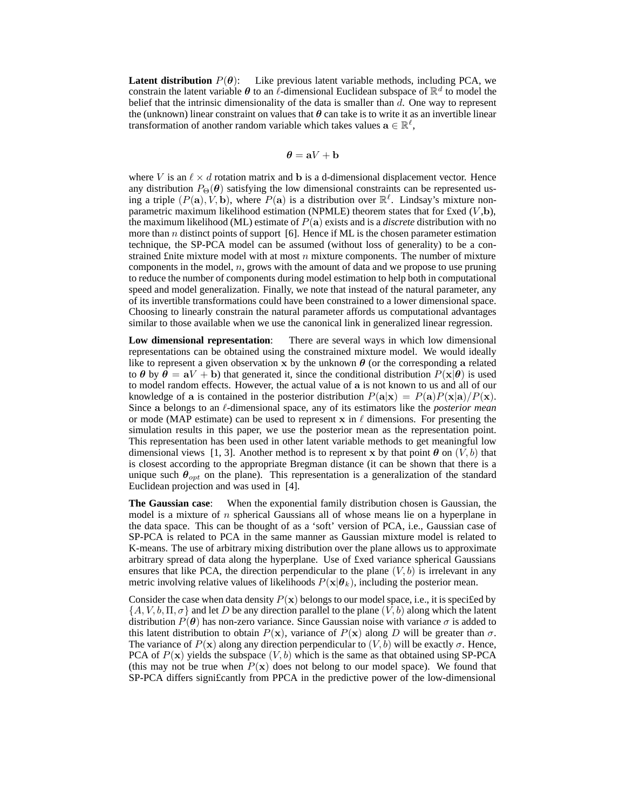**Latent distribution**  $P(\theta)$ : Like previous latent variable methods, including PCA, we constrain the latent variable  $\theta$  to an  $\ell$ -dimensional Euclidean subspace of  $\mathbb{R}^d$  to model the belief that the intrinsic dimensionality of the data is smaller than  $d$ . One way to represent the (unknown) linear constraint on values that  $\theta$  can take is to write it as an invertible linear transformation of another random variable which takes values  $\mathbf{a} \in \mathbb{R}^{\ell}$ ,

$$
\boldsymbol{\theta} = \mathbf{a}V + \mathbf{b}
$$

where V is an  $\ell \times d$  rotation matrix and b is a d-dimensional displacement vector. Hence any distribution  $P_{\Theta}(\theta)$  satisfying the low dimensional constraints can be represented using a triple  $(P(\mathbf{a}), V, \mathbf{b})$ , where  $P(\mathbf{a})$  is a distribution over  $\mathbb{R}^{\ell}$ . Lindsay's mixture nonparametric maximum likelihood estimation (NPMLE) theorem states that for £xed  $(V,b)$ , the maximum likelihood (ML) estimate of P(a) exists and is a *discrete* distribution with no more than  $n$  distinct points of support [6]. Hence if ML is the chosen parameter estimation technique, the SP-PCA model can be assumed (without loss of generality) to be a constrained £nite mixture model with at most  $n$  mixture components. The number of mixture components in the model,  $n$ , grows with the amount of data and we propose to use pruning to reduce the number of components during model estimation to help both in computational speed and model generalization. Finally, we note that instead of the natural parameter, any of its invertible transformations could have been constrained to a lower dimensional space. Choosing to linearly constrain the natural parameter affords us computational advantages similar to those available when we use the canonical link in generalized linear regression.

**Low dimensional representation**: There are several ways in which low dimensional representations can be obtained using the constrained mixture model. We would ideally like to represent a given observation x by the unknown  $\theta$  (or the corresponding a related to  $\theta$  by  $\theta = aV + b$ ) that generated it, since the conditional distribution  $P(x|\theta)$  is used to model random effects. However, the actual value of a is not known to us and all of our knowledge of a is contained in the posterior distribution  $P(\mathbf{a}|\mathbf{x}) = P(\mathbf{a})P(\mathbf{x}|\mathbf{a})/P(\mathbf{x})$ . Since a belongs to an  $\ell$ -dimensional space, any of its estimators like the *posterior mean* or mode (MAP estimate) can be used to represent x in  $\ell$  dimensions. For presenting the simulation results in this paper, we use the posterior mean as the representation point. This representation has been used in other latent variable methods to get meaningful low dimensional views [1, 3]. Another method is to represent x by that point  $\theta$  on  $(V, b)$  that is closest according to the appropriate Bregman distance (it can be shown that there is a unique such  $\theta_{opt}$  on the plane). This representation is a generalization of the standard Euclidean projection and was used in [4].

**The Gaussian case**: When the exponential family distribution chosen is Gaussian, the model is a mixture of  $n$  spherical Gaussians all of whose means lie on a hyperplane in the data space. This can be thought of as a 'soft' version of PCA, i.e., Gaussian case of SP-PCA is related to PCA in the same manner as Gaussian mixture model is related to K-means. The use of arbitrary mixing distribution over the plane allows us to approximate arbitrary spread of data along the hyperplane. Use of £xed variance spherical Gaussians ensures that like PCA, the direction perpendicular to the plane  $(V, b)$  is irrelevant in any metric involving relative values of likelihoods  $P(\mathbf{x}|\boldsymbol{\theta}_k)$ , including the posterior mean.

Consider the case when data density  $P(x)$  belongs to our model space, i.e., it is specified by  $\{A, V, b, \Pi, \sigma\}$  and let D be any direction parallel to the plane  $(V, b)$  along which the latent distribution  $P(\theta)$  has non-zero variance. Since Gaussian noise with variance  $\sigma$  is added to this latent distribution to obtain  $P(x)$ , variance of  $P(x)$  along D will be greater than  $\sigma$ . The variance of  $P(x)$  along any direction perpendicular to  $(V, b)$  will be exactly  $\sigma$ . Hence, PCA of  $P(x)$  yields the subspace  $(V, b)$  which is the same as that obtained using SP-PCA (this may not be true when  $P(x)$  does not belong to our model space). We found that SP-PCA differs signi£cantly from PPCA in the predictive power of the low-dimensional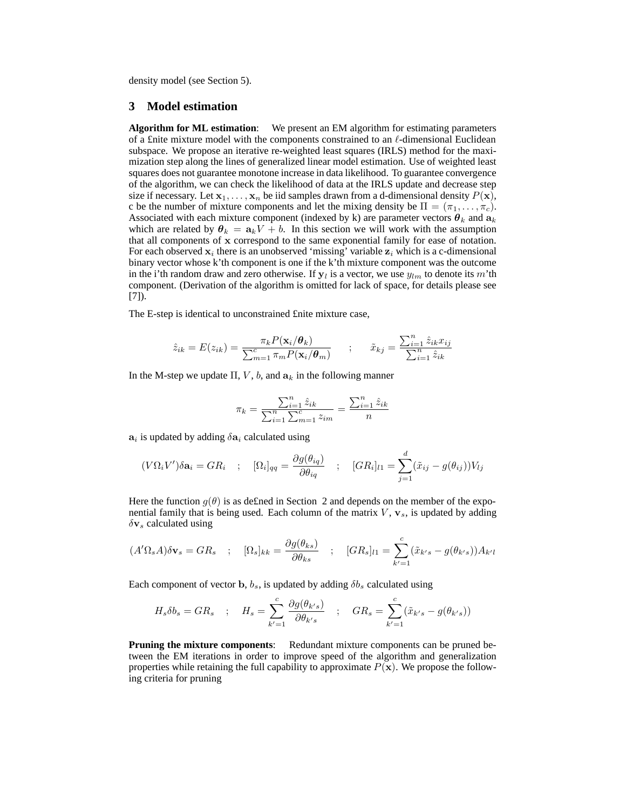density model (see Section 5).

# **3 Model estimation**

**Algorithm for ML estimation**: We present an EM algorithm for estimating parameters of a £nite mixture model with the components constrained to an  $\ell$ -dimensional Euclidean subspace. We propose an iterative re-weighted least squares (IRLS) method for the maximization step along the lines of generalized linear model estimation. Use of weighted least squares does not guarantee monotone increase in data likelihood. To guarantee convergence of the algorithm, we can check the likelihood of data at the IRLS update and decrease step size if necessary. Let  $x_1, \ldots, x_n$  be iid samples drawn from a d-dimensional density  $P(x)$ , c be the number of mixture components and let the mixing density be  $\Pi = (\pi_1, \dots, \pi_c)$ . Associated with each mixture component (indexed by k) are parameter vectors  $\theta_k$  and  $a_k$ which are related by  $\theta_k = a_k V + b$ . In this section we will work with the assumption that all components of x correspond to the same exponential family for ease of notation. For each observed  $x_i$  there is an unobserved 'missing' variable  $z_i$  which is a c-dimensional binary vector whose k'th component is one if the k'th mixture component was the outcome in the i'th random draw and zero otherwise. If  $y_l$  is a vector, we use  $y_{lm}$  to denote its m'th component. (Derivation of the algorithm is omitted for lack of space, for details please see [7]).

The E-step is identical to unconstrained £nite mixture case,

$$
\hat{z}_{ik} = E(z_{ik}) = \frac{\pi_k P(\mathbf{x}_i/\boldsymbol{\theta}_k)}{\sum_{m=1}^c \pi_m P(\mathbf{x}_i/\boldsymbol{\theta}_m)} \qquad ; \qquad \tilde{x}_{kj} = \frac{\sum_{i=1}^n \hat{z}_{ik} x_{ij}}{\sum_{i=1}^n \hat{z}_{ik}}
$$

In the M-step we update  $\Pi$ , V, b, and  $\mathbf{a}_k$  in the following manner

$$
\pi_k = \frac{\sum_{i=1}^n \hat{z}_{ik}}{\sum_{i=1}^n \sum_{m=1}^c z_{im}} = \frac{\sum_{i=1}^n \hat{z}_{ik}}{n}
$$

 $a_i$  is updated by adding  $\delta a_i$  calculated using

$$
(V\Omega_i V')\delta \mathbf{a}_i = GR_i \quad ; \quad [\Omega_i]_{qq} = \frac{\partial g(\theta_{iq})}{\partial \theta_{iq}} \quad ; \quad [GR_i]_{l1} = \sum_{j=1}^d (\tilde{x}_{ij} - g(\theta_{ij}))V_{lj}
$$

Here the function  $g(\theta)$  is as defined in Section 2 and depends on the member of the exponential family that is being used. Each column of the matrix  $V$ ,  $\mathbf{v}_s$ , is updated by adding  $\delta v_s$  calculated using

$$
(A'\Omega_s A)\delta \mathbf{v}_s = GR_s \quad ; \quad [\Omega_s]_{kk} = \frac{\partial g(\theta_{ks})}{\partial \theta_{ks}} \quad ; \quad [GR_s]_{l1} = \sum_{k'=1}^c (\tilde{x}_{k's} - g(\theta_{k's}))A_{k'l}
$$

Each component of vector b,  $b_s$ , is updated by adding  $\delta b_s$  calculated using

$$
H_s \delta b_s = GR_s \quad ; \quad H_s = \sum_{k'=1}^c \frac{\partial g(\theta_{k's})}{\partial \theta_{k's}} \quad ; \quad GR_s = \sum_{k'=1}^c (\tilde{x}_{k's} - g(\theta_{k's}))
$$

**Pruning the mixture components:** Redundant mixture components can be pruned between the EM iterations in order to improve speed of the algorithm and generalization properties while retaining the full capability to approximate  $P(x)$ . We propose the following criteria for pruning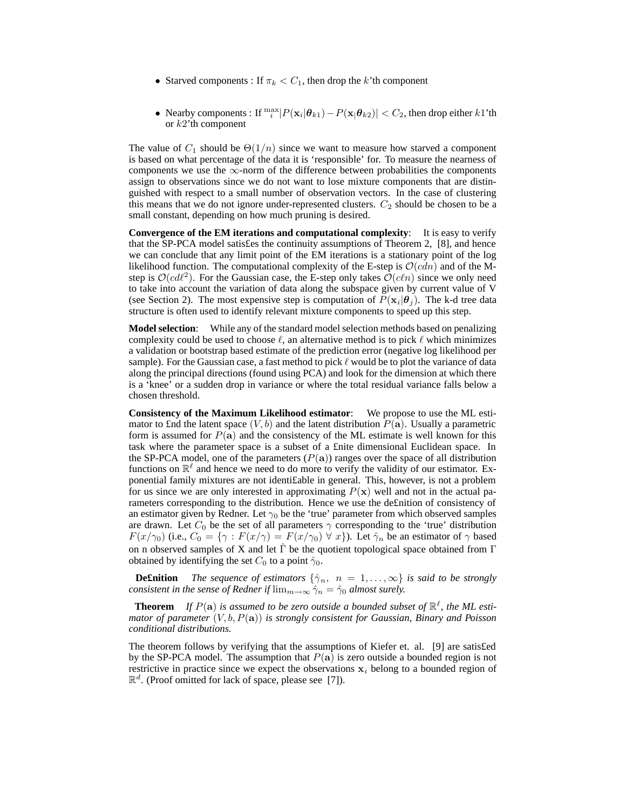- Starved components : If  $\pi_k < C_1$ , then drop the k'th component
- Nearby components : If  $\frac{\max}{i} |P(\mathbf{x}_i|\boldsymbol{\theta}_{k1}) P(\mathbf{x}_i|\boldsymbol{\theta}_{k2})| < C_2$ , then drop either  $k1$ 'th or  $k2$ 'th component

The value of  $C_1$  should be  $\Theta(1/n)$  since we want to measure how starved a component is based on what percentage of the data it is 'responsible' for. To measure the nearness of components we use the  $\infty$ -norm of the difference between probabilities the components assign to observations since we do not want to lose mixture components that are distinguished with respect to a small number of observation vectors. In the case of clustering this means that we do not ignore under-represented clusters.  $C_2$  should be chosen to be a small constant, depending on how much pruning is desired.

**Convergence of the EM iterations and computational complexity**: It is easy to verify that the SP-PCA model satis£es the continuity assumptions of Theorem 2, [8], and hence we can conclude that any limit point of the EM iterations is a stationary point of the log likelihood function. The computational complexity of the E-step is  $\mathcal{O}(cdn)$  and of the Mstep is  $O(cd^2)$ . For the Gaussian case, the E-step only takes  $O(cln)$  since we only need to take into account the variation of data along the subspace given by current value of V (see Section 2). The most expensive step is computation of  $P(\mathbf{x}_i|\boldsymbol{\theta}_j)$ . The k-d tree data structure is often used to identify relevant mixture components to speed up this step.

**Model selection**: While any of the standard model selection methods based on penalizing complexity could be used to choose  $\ell$ , an alternative method is to pick  $\ell$  which minimizes a validation or bootstrap based estimate of the prediction error (negative log likelihood per sample). For the Gaussian case, a fast method to pick  $\ell$  would be to plot the variance of data along the principal directions (found using PCA) and look for the dimension at which there is a 'knee' or a sudden drop in variance or where the total residual variance falls below a chosen threshold.

**Consistency of the Maximum Likelihood estimator**: We propose to use the ML estimator to £nd the latent space  $(V, b)$  and the latent distribution  $P(\overline{a})$ . Usually a parametric form is assumed for  $P(a)$  and the consistency of the ML estimate is well known for this task where the parameter space is a subset of a £nite dimensional Euclidean space. In the SP-PCA model, one of the parameters  $(P(a))$  ranges over the space of all distribution functions on  $\mathbb{R}^{\ell}$  and hence we need to do more to verify the validity of our estimator. Exponential family mixtures are not identi£able in general. This, however, is not a problem for us since we are only interested in approximating  $P(x)$  well and not in the actual parameters corresponding to the distribution. Hence we use the de£nition of consistency of an estimator given by Redner. Let  $\gamma_0$  be the 'true' parameter from which observed samples are drawn. Let  $C_0$  be the set of all parameters  $\gamma$  corresponding to the 'true' distribution  $F(x/\gamma_0)$  (i.e.,  $C_0 = \{ \gamma : F(x/\gamma) = F(x/\gamma_0) \ \forall \ x \}$ ). Let  $\hat{\gamma}_n$  be an estimator of  $\gamma$  based on n observed samples of X and let  $\hat{\Gamma}$  be the quotient topological space obtained from  $\Gamma$ obtained by identifying the set  $C_0$  to a point  $\hat{\gamma}_0$ .

**Definition** *The sequence of estimators*  $\{\hat{\gamma}_n, n = 1, \ldots, \infty\}$  *is said to be strongly consistent in the sense of Redner if*  $\lim_{m\to\infty} \hat{\gamma}_n = \hat{\gamma}_0$  *almost surely.* 

**Theorem** If  $P(\mathbf{a})$  is assumed to be zero outside a bounded subset of  $\mathbb{R}^{\ell}$ , the ML esti*mator of parameter* (V, b, P(a)) *is strongly consistent for Gaussian, Binary and Poisson conditional distributions.*

The theorem follows by verifying that the assumptions of Kiefer et. al. [9] are satis£ed by the SP-PCA model. The assumption that  $P(a)$  is zero outside a bounded region is not restrictive in practice since we expect the observations  $x_i$  belong to a bounded region of  $\mathbb{R}^d$ . (Proof omitted for lack of space, please see [7]).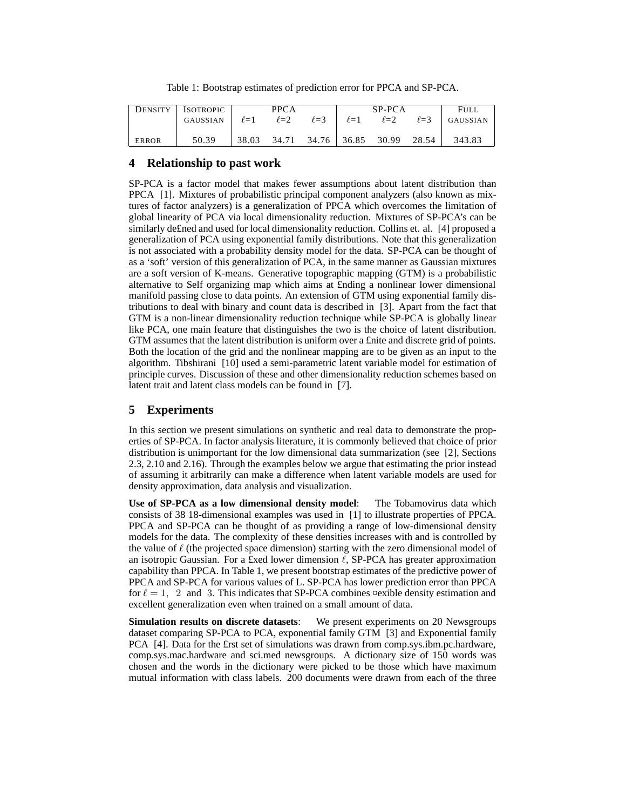Table 1: Bootstrap estimates of prediction error for PPCA and SP-PCA.

| <b>DENSITY</b> | <b>ISOTROPIC</b> | <b>PPCA</b> |            |                               | SP-PCA                |            |            | <b>FULL</b> |
|----------------|------------------|-------------|------------|-------------------------------|-----------------------|------------|------------|-------------|
|                | GAUSSIAN         | $\ell = 1$  | $\ell = 2$ |                               | $\ell = 3$ $\ell = 1$ | $\ell = 2$ | $\ell = 3$ | GAUSSIAN    |
|                |                  |             |            |                               |                       |            |            |             |
| <b>ERROR</b>   | 50.39            | 38.03       |            | 34.71 34.76 36.85 30.99 28.54 |                       |            |            | 343.83      |

## **4 Relationship to past work**

SP-PCA is a factor model that makes fewer assumptions about latent distribution than PPCA [1]. Mixtures of probabilistic principal component analyzers (also known as mixtures of factor analyzers) is a generalization of PPCA which overcomes the limitation of global linearity of PCA via local dimensionality reduction. Mixtures of SP-PCA's can be similarly de£ned and used for local dimensionality reduction. Collins et. al. [4] proposed a generalization of PCA using exponential family distributions. Note that this generalization is not associated with a probability density model for the data. SP-PCA can be thought of as a 'soft' version of this generalization of PCA, in the same manner as Gaussian mixtures are a soft version of K-means. Generative topographic mapping (GTM) is a probabilistic alternative to Self organizing map which aims at £nding a nonlinear lower dimensional manifold passing close to data points. An extension of GTM using exponential family distributions to deal with binary and count data is described in [3]. Apart from the fact that GTM is a non-linear dimensionality reduction technique while SP-PCA is globally linear like PCA, one main feature that distinguishes the two is the choice of latent distribution. GTM assumes that the latent distribution is uniform over a £nite and discrete grid of points. Both the location of the grid and the nonlinear mapping are to be given as an input to the algorithm. Tibshirani [10] used a semi-parametric latent variable model for estimation of principle curves. Discussion of these and other dimensionality reduction schemes based on latent trait and latent class models can be found in [7].

# **5 Experiments**

In this section we present simulations on synthetic and real data to demonstrate the properties of SP-PCA. In factor analysis literature, it is commonly believed that choice of prior distribution is unimportant for the low dimensional data summarization (see [2], Sections 2.3, 2.10 and 2.16). Through the examples below we argue that estimating the prior instead of assuming it arbitrarily can make a difference when latent variable models are used for density approximation, data analysis and visualization.

**Use of SP-PCA as a low dimensional density model**: The Tobamovirus data which consists of 38 18-dimensional examples was used in [1] to illustrate properties of PPCA. PPCA and SP-PCA can be thought of as providing a range of low-dimensional density models for the data. The complexity of these densities increases with and is controlled by the value of  $\ell$  (the projected space dimension) starting with the zero dimensional model of an isotropic Gaussian. For a £xed lower dimension  $\ell$ , SP-PCA has greater approximation capability than PPCA. In Table 1, we present bootstrap estimates of the predictive power of PPCA and SP-PCA for various values of L. SP-PCA has lower prediction error than PPCA for  $\ell = 1$ , 2 and 3. This indicates that SP-PCA combines ¤exible density estimation and excellent generalization even when trained on a small amount of data.

**Simulation results on discrete datasets**: We present experiments on 20 Newsgroups dataset comparing SP-PCA to PCA, exponential family GTM [3] and Exponential family PCA [4]. Data for the £rst set of simulations was drawn from comp.sys.ibm.pc.hardware, comp.sys.mac.hardware and sci.med newsgroups. A dictionary size of 150 words was chosen and the words in the dictionary were picked to be those which have maximum mutual information with class labels. 200 documents were drawn from each of the three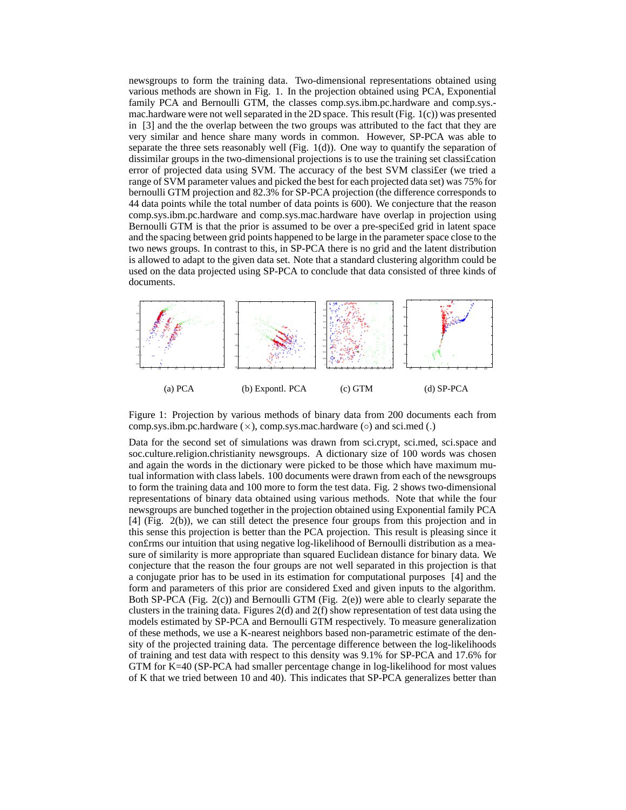newsgroups to form the training data. Two-dimensional representations obtained using various methods are shown in Fig. 1. In the projection obtained using PCA, Exponential family PCA and Bernoulli GTM, the classes comp.sys.ibm.pc.hardware and comp.sys. mac.hardware were not well separated in the 2D space. This result (Fig. 1(c)) was presented in [3] and the the overlap between the two groups was attributed to the fact that they are very similar and hence share many words in common. However, SP-PCA was able to separate the three sets reasonably well (Fig.  $1(d)$ ). One way to quantify the separation of dissimilar groups in the two-dimensional projections is to use the training set classi£cation error of projected data using SVM. The accuracy of the best SVM classi£er (we tried a range of SVM parameter values and picked the best for each projected data set) was 75% for bernoulli GTM projection and 82.3% for SP-PCA projection (the difference corresponds to 44 data points while the total number of data points is 600). We conjecture that the reason comp.sys.ibm.pc.hardware and comp.sys.mac.hardware have overlap in projection using Bernoulli GTM is that the prior is assumed to be over a pre-speci£ed grid in latent space and the spacing between grid points happened to be large in the parameter space close to the two news groups. In contrast to this, in SP-PCA there is no grid and the latent distribution is allowed to adapt to the given data set. Note that a standard clustering algorithm could be used on the data projected using SP-PCA to conclude that data consisted of three kinds of documents.



Figure 1: Projection by various methods of binary data from 200 documents each from comp.sys.ibm.pc.hardware  $(\times)$ , comp.sys.mac.hardware  $(\circ)$  and sci.med (.)

Data for the second set of simulations was drawn from sci.crypt, sci.med, sci.space and soc.culture.religion.christianity newsgroups. A dictionary size of 100 words was chosen and again the words in the dictionary were picked to be those which have maximum mutual information with class labels. 100 documents were drawn from each of the newsgroups to form the training data and 100 more to form the test data. Fig. 2 shows two-dimensional representations of binary data obtained using various methods. Note that while the four newsgroups are bunched together in the projection obtained using Exponential family PCA [4] (Fig. 2(b)), we can still detect the presence four groups from this projection and in this sense this projection is better than the PCA projection. This result is pleasing since it con£rms our intuition that using negative log-likelihood of Bernoulli distribution as a measure of similarity is more appropriate than squared Euclidean distance for binary data. We conjecture that the reason the four groups are not well separated in this projection is that a conjugate prior has to be used in its estimation for computational purposes [4] and the form and parameters of this prior are considered £xed and given inputs to the algorithm. Both SP-PCA (Fig. 2(c)) and Bernoulli GTM (Fig. 2(e)) were able to clearly separate the clusters in the training data. Figures  $2(d)$  and  $2(f)$  show representation of test data using the models estimated by SP-PCA and Bernoulli GTM respectively. To measure generalization of these methods, we use a K-nearest neighbors based non-parametric estimate of the density of the projected training data. The percentage difference between the log-likelihoods of training and test data with respect to this density was 9.1% for SP-PCA and 17.6% for GTM for K=40 (SP-PCA had smaller percentage change in log-likelihood for most values of K that we tried between 10 and 40). This indicates that SP-PCA generalizes better than